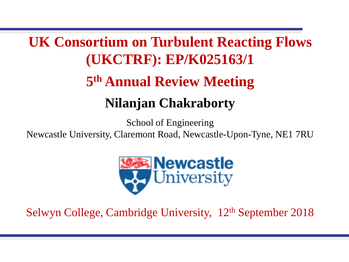# **UK Consortium on Turbulent Reacting Flows (UKCTRF): EP/K025163/1 5 th Annual Review Meeting Nilanjan Chakraborty**

School of Engineering

Newcastle University, Claremont Road, Newcastle-Upon-Tyne, NE1 7RU



Selwyn College, Cambridge University, 12th September 2018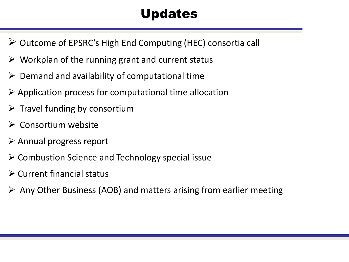# Updates

- $\triangleright$  Outcome of EPSRC's High End Computing (HEC) consortia call
- $\triangleright$  Workplan of the running grant and current status
- $\triangleright$  Demand and availability of computational time
- $\triangleright$  Application process for computational time allocation
- $\triangleright$  Travel funding by consortium
- $\triangleright$  Consortium website
- $\triangleright$  Annual progress report
- $\triangleright$  Combustion Science and Technology special issue
- $\triangleright$  Current financial status
- $\triangleright$  Any Other Business (AOB) and matters arising from earlier meeting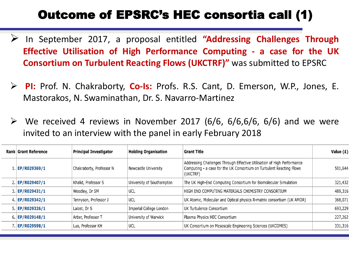### Outcome of EPSRC's HEC consortia call (1)

- In September 2017, a proposal entitled **"Addressing Challenges Through Effective Utilisation of High Performance Computing - a case for the UK Consortium on Turbulent Reacting Flows (UKCTRF)"** was submitted to EPSRC
- **PI:** Prof. N. Chakraborty, **Co-Is:** Profs. R.S. Cant, D. Emerson, W.P., Jones, E. Mastorakos, N. Swaminathan, Dr. S. Navarro-Martinez
- $\triangleright$  We received 4 reviews in November 2017 (6/6, 6/6,6/6, 6/6) and we were invited to an interview with the panel in early February 2018

| Rank Grant Reference | <b>Principal Investigator</b> | <b>Holding Organisation</b> | <b>Grant Title</b>                                                                                                                                          | Value $(E)$ |
|----------------------|-------------------------------|-----------------------------|-------------------------------------------------------------------------------------------------------------------------------------------------------------|-------------|
| 1   EP/R029369/1     | Chakraborty, Professor N      | Newcastle University        | Addressing Challenges Through Effective Utilisation of High Performance<br>Computing - a case for the UK Consortium on Turbulent Reacting Flows<br>(UKCTRF) | 501,644     |
| 2   EP/R029407/1     | Khalid, Professor S           | University of Southampton   | The UK High-End Computing Consortium for Biomolecular Simulation                                                                                            | 321,432     |
| 3. EP/R029431/1      | Woodley, Dr SM                | UCL                         | HIGH END COMPUTING MATERIALS CHEMISTRY CONSORTIUM                                                                                                           | 489,316     |
| 4   $EP/R029342/1$   | Tennyson, Professor J         | UCL                         | UK Atomic, Molecular and Optical physics R-matrix consortium (UK AMOR)                                                                                      | 368,071     |
| $5$  EP/R029326/1    | Laizet, Dr S                  | Imperial College London     | UK Turbulence Consortium                                                                                                                                    | 693,229     |
| 6 EP/R029148/1       | Arber, Professor T            | University of Warwick       | Plasma Physics HEC Consortium                                                                                                                               | 227,262     |
| 7   EP/R029598/1     | Luo, Professor KH             | UCL                         | UK Consortium on Mesoscale Engineering Sciences (UKCOMES)                                                                                                   | 331,316     |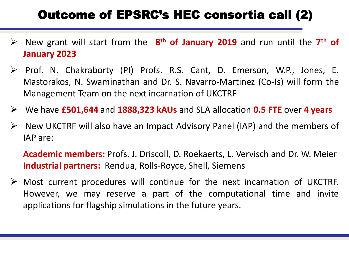## Outcome of EPSRC's HEC consortia call (2)

- New grant will start from the **8 th of January 2019** and run until the **7 th of January 2023**
- Prof. N. Chakraborty (PI) Profs. R.S. Cant, D. Emerson, W.P., Jones, E. Mastorakos, N. Swaminathan and Dr. S. Navarro-Martinez (Co-Is) will form the Management Team on the next incarnation of UKCTRF
- We have **£501,644** and **1888,323 kAUs** and SLA allocation **0.5 FTE** over **4 years**
- $\triangleright$  New UKCTRF will also have an Impact Advisory Panel (IAP) and the members of IAP are:

**Academic members:** Profs. J. Driscoll, D. Roekaerts, L. Vervisch and Dr. W. Meier **Industrial partners:** Rendua, Rolls-Royce, Shell, Siemens

 $\triangleright$  Most current procedures will continue for the next incarnation of UKCTRF. However, we may reserve a part of the computational time and invite applications for flagship simulations in the future years.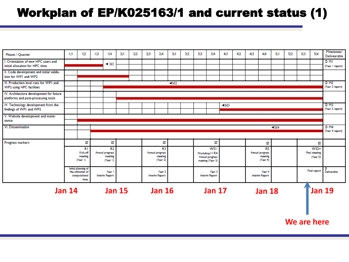#### Workplan of EP/K025163/1 and current status (1)

| Phases \ Quarter                                                       | Ш                              | $\frac{1}{2}$                             | $\overline{1}$ | 4                     | 2  1          | 2 2 | 213 | 214                   | 311   | 3 2 | 313 | 3 4                   | 4      | 4 2 | 4 3 | 4 4                   | 511    | 5 2 | 513 | 5 4                  | Milestones/<br>Delivearable |  |  |  |  |  |
|------------------------------------------------------------------------|--------------------------------|-------------------------------------------|----------------|-----------------------|---------------|-----|-----|-----------------------|-------|-----|-----|-----------------------|--------|-----|-----|-----------------------|--------|-----|-----|----------------------|-----------------------------|--|--|--|--|--|
| I. Orientation of new HPC users and<br>initial allocation for HPC time |                                |                                           |                | $\triangleleft$ Ml    |               |     |     |                       |       |     |     |                       |        |     |     |                       |        |     |     |                      | D MI<br>(Year I report)     |  |  |  |  |  |
|                                                                        |                                |                                           |                |                       |               |     |     |                       |       |     |     |                       |        |     |     |                       |        |     |     |                      |                             |  |  |  |  |  |
| II. Code development and initial valida-                               |                                |                                           |                |                       |               |     |     |                       |       |     |     |                       |        |     |     |                       |        |     |     |                      |                             |  |  |  |  |  |
| tion for WPI and WP2                                                   |                                |                                           |                |                       |               |     |     |                       |       |     |     |                       |        |     |     |                       |        |     |     |                      |                             |  |  |  |  |  |
| III. Production level runs for WPI and                                 |                                |                                           |                |                       |               |     |     |                       | $-M2$ |     |     |                       |        |     |     |                       |        |     |     |                      | $D$ M <sub>2</sub>          |  |  |  |  |  |
| <b>WP2</b> using HPC facilities                                        |                                |                                           |                |                       |               |     |     |                       |       |     |     | (Year 2 report)       |        |     |     |                       |        |     |     |                      |                             |  |  |  |  |  |
|                                                                        |                                |                                           |                |                       |               |     |     |                       |       |     |     |                       |        |     |     |                       |        |     |     |                      |                             |  |  |  |  |  |
| IV. Architecture development for future                                |                                |                                           |                |                       |               |     |     |                       |       |     |     |                       |        |     |     |                       |        |     |     |                      |                             |  |  |  |  |  |
| platforms and post-processing tools                                    |                                |                                           |                |                       |               |     |     |                       |       |     |     |                       |        |     |     |                       |        |     |     |                      |                             |  |  |  |  |  |
| IV. Technology development from the                                    |                                |                                           |                |                       |               |     |     |                       |       |     |     |                       | $-1M3$ |     |     |                       |        |     |     |                      | $D$ M3                      |  |  |  |  |  |
| findings of WPI and WP2                                                |                                |                                           |                |                       |               |     |     |                       |       |     |     |                       |        |     |     |                       |        |     |     |                      | (Year 3 report)             |  |  |  |  |  |
|                                                                        |                                |                                           |                |                       |               |     |     |                       |       |     |     |                       |        |     |     |                       |        |     |     |                      |                             |  |  |  |  |  |
| V. Website development and maint-                                      |                                |                                           |                |                       |               |     |     |                       |       |     |     |                       |        |     |     |                       |        |     |     |                      |                             |  |  |  |  |  |
| nance                                                                  |                                |                                           |                |                       |               |     |     |                       |       |     |     |                       |        |     |     |                       |        |     |     |                      |                             |  |  |  |  |  |
| VI. Dissemination                                                      |                                |                                           |                |                       |               |     |     |                       |       |     |     |                       |        |     |     |                       | $-1M4$ |     |     |                      | $D$ M4<br>(Year 4 report)   |  |  |  |  |  |
|                                                                        |                                |                                           |                |                       |               |     |     |                       |       |     |     |                       |        |     |     |                       |        |     |     |                      |                             |  |  |  |  |  |
|                                                                        |                                |                                           |                |                       |               |     |     |                       |       |     |     |                       |        |     |     |                       |        |     |     |                      |                             |  |  |  |  |  |
|                                                                        |                                |                                           |                |                       |               |     |     |                       |       |     |     |                       |        |     |     |                       |        |     |     |                      |                             |  |  |  |  |  |
| Progress markers                                                       |                                | ⊠                                         |                | ☑                     |               |     |     | ⊠                     |       |     |     | ☑                     |        |     |     | ☑                     |        |     |     | ☑                    |                             |  |  |  |  |  |
|                                                                        |                                | R1                                        |                | R <sub>2</sub>        |               |     |     | R3                    |       |     |     | WSI:                  |        |     |     | R5                    |        |     |     | $WS2+$               |                             |  |  |  |  |  |
|                                                                        |                                | Kick-off                                  |                | Annual progress       |               |     |     | Annual progress       |       |     |     | Workshop1+R4          |        |     |     | Annual progress       |        |     |     | <b>Final meeting</b> |                             |  |  |  |  |  |
|                                                                        |                                | meeting                                   |                | meeting               |               |     |     | meeting               |       |     |     | Annual progress       |        |     |     | meeting               |        |     |     | (Year 5)             |                             |  |  |  |  |  |
|                                                                        |                                | (Year I)                                  |                | (Year I)              |               |     |     | (Year 2)              |       |     |     | meeting (Year 3)      |        |     |     | (Year 4)              |        |     |     |                      |                             |  |  |  |  |  |
|                                                                        |                                |                                           |                |                       |               |     |     |                       |       |     |     |                       |        |     |     |                       |        |     |     |                      |                             |  |  |  |  |  |
|                                                                        |                                | Initial planning of<br>the utilisation of |                | Year I                |               |     |     | Year 2                |       |     |     | Year <sub>3</sub>     |        |     |     | Year 4                |        |     |     | <b>Final report</b>  | ۰<br>Deliverable            |  |  |  |  |  |
|                                                                        |                                | computational                             |                | <b>Interim Report</b> |               |     |     | <b>Interim Report</b> |       |     |     | <b>Interim Report</b> |        |     |     | <b>Interim Report</b> |        |     |     |                      |                             |  |  |  |  |  |
|                                                                        |                                | time.                                     |                |                       |               |     |     |                       |       |     |     |                       |        |     |     |                       |        |     |     |                      |                             |  |  |  |  |  |
|                                                                        |                                |                                           |                |                       |               |     |     |                       |       |     |     |                       |        |     |     |                       |        |     |     |                      |                             |  |  |  |  |  |
|                                                                        |                                |                                           |                |                       |               |     |     |                       |       |     |     |                       |        |     |     |                       |        |     |     |                      |                             |  |  |  |  |  |
|                                                                        | <b>Jan 15</b><br><b>Jan 14</b> |                                           |                |                       | <b>Jan 16</b> |     |     | <b>Jan 17</b>         |       |     |     | <b>Jan 18</b>         |        |     |     | <b>Jan 19</b>         |        |     |     |                      |                             |  |  |  |  |  |
|                                                                        |                                |                                           |                |                       |               |     |     |                       |       |     |     |                       |        |     |     |                       |        |     |     |                      |                             |  |  |  |  |  |
|                                                                        |                                |                                           |                |                       |               |     |     |                       |       |     |     |                       |        |     |     |                       |        |     |     |                      |                             |  |  |  |  |  |
|                                                                        |                                |                                           |                |                       |               |     |     |                       |       |     |     |                       |        |     |     |                       |        |     |     |                      |                             |  |  |  |  |  |

**We are here**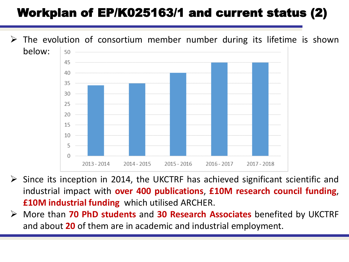## Workplan of EP/K025163/1 and current status (2)

 The evolution of consortium member number during its lifetime is shown below: 50 45 40 35 30 25 20 15 10 5 2013 - 2014  $2014 - 2015$ 2015 - 2016  $2016 - 2017$ 2017 - 2018

- $\triangleright$  Since its inception in 2014, the UKCTRF has achieved significant scientific and industrial impact with **over 400 publications**, **£10M research council funding**, **£10M industrial funding** which utilised ARCHER.
- More than **70 PhD students** and **30 Research Associates** benefited by UKCTRF and about **20** of them are in academic and industrial employment.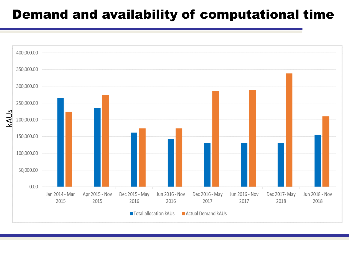#### Demand and availability of computational time

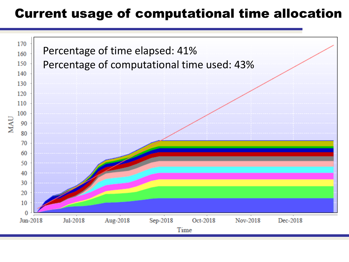#### Current usage of computational time allocation

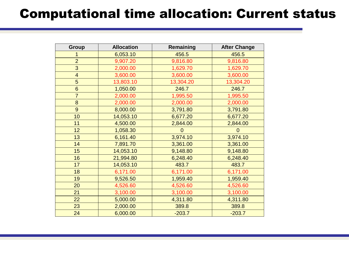## Computational time allocation: Current status

| Group                   | <b>Allocation</b> | Remaining   | <b>After Change</b> |
|-------------------------|-------------------|-------------|---------------------|
|                         | 6,053.10          | 456.5       | 456.5               |
| $\overline{2}$          | 9,907.20          | 9,816.80    | 9,816.80            |
| 3                       | 2,000.00          | 1,629.70    | 1,629.70            |
| $\overline{\mathbf{4}}$ | 3,600.00          | 3,600.00    | 3,600.00            |
| 5                       | 13,803.10         | 13,304.20   | 13,304.20           |
| $6\phantom{1}$          | 1,050.00          | 246.7       | 246.7               |
| $\overline{7}$          | 2,000.00          | 1,995.50    | 1,995.50            |
| 8                       | 2,000.00          | 2,000.00    | 2,000.00            |
| 9                       | 8,000.00          | 3,791.80    | 3,791.80            |
| 10                      | 14,053.10         | 6,677.20    | 6,677.20            |
| 11                      | 4,500.00          | 2,844.00    | 2,844.00            |
| 12                      | 1,058.30          | $\mathbf 0$ | $\mathbf 0$         |
| 13                      | 6,161.40          | 3,974.10    | 3,974.10            |
| 14                      | 7,891.70          | 3,361.00    | 3,361.00            |
| 15                      | 14,053.10         | 9,148.80    | 9,148.80            |
| 16                      | 21,994.80         | 6,248.40    | 6,248.40            |
| 17                      | 14,053.10         | 483.7       | 483.7               |
| 18                      | 6,171.00          | 6,171.00    | 6,171.00            |
| 19                      | 9,526.50          | 1,959.40    | 1,959.40            |
| 20                      | 4,526.60          | 4,526.60    | 4,526.60            |
| 21                      | 3,100.00          | 3,100.00    | 3,100.00            |
| 22                      | 5,000.00          | 4,311.80    | 4,311.80            |
| 23                      | 2,000.00          | 389.8       | 389.8               |
| 24                      | 6,000.00          | $-203.7$    | $-203.7$            |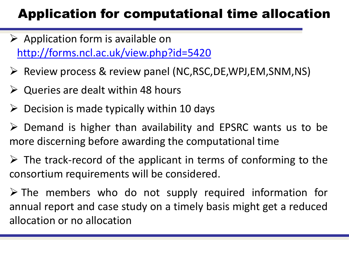## Application for computational time allocation

- $\triangleright$  Application form is available on <http://forms.ncl.ac.uk/view.php?id=5420>
- $\triangleright$  Review process & review panel (NC,RSC,DE,WPJ,EM,SNM,NS)
- $\triangleright$  Queries are dealt within 48 hours
- $\triangleright$  Decision is made typically within 10 days
- $\triangleright$  Demand is higher than availability and EPSRC wants us to be more discerning before awarding the computational time
- $\triangleright$  The track-record of the applicant in terms of conforming to the consortium requirements will be considered.
- $\triangleright$  The members who do not supply required information for annual report and case study on a timely basis might get a reduced allocation or no allocation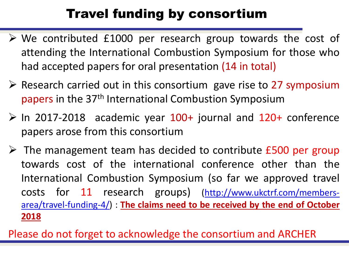# Travel funding by consortium

- $\triangleright$  We contributed £1000 per research group towards the cost of attending the International Combustion Symposium for those who had accepted papers for oral presentation (14 in total)
- $\triangleright$  Research carried out in this consortium gave rise to 27 symposium papers in the 37th International Combustion Symposium
- $\triangleright$  In 2017-2018 academic year 100+ journal and 120+ conference papers arose from this consortium
- $\triangleright$  The management team has decided to contribute £500 per group towards cost of the international conference other than the International Combustion Symposium (so far we approved travel costs for 11 research groups) [\(http://www.ukctrf.com/members](http://www.ukctrf.com/members-area/travel-funding-4/)area/travel-funding-4/) : **The claims need to be received by the end of October 2018**

Please do not forget to acknowledge the consortium and ARCHER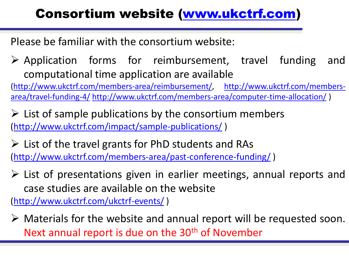# Consortium website [\(www.ukctrf.com\)](http://www.ukctrf.com/)

Please be familiar with the consortium website:

 $\triangleright$  Application forms for reimbursement, travel funding and computational time application are available

[\(http://www.ukctrf.com/members-area/reimbursement/,](http://www.ukctrf.com/members-area/reimbursement/) http://www.ukctrf.com/membersarea/travel-funding-4/ [http://www.ukctrf.com/members-area/computer-time-allocation/](http://www.ukctrf.com/members-area/travel-funding-4/) )

 $\triangleright$  List of sample publications by the consortium members [\(http://www.ukctrf.com/impact/sample-publications/](http://www.ukctrf.com/impact/sample-publications/) )

 $\triangleright$  List of the travel grants for PhD students and RAs [\(http://www.ukctrf.com/members-area/past-conference-funding/](http://www.ukctrf.com/members-area/past-conference-funding/) )

 $\triangleright$  List of presentations given in earlier meetings, annual reports and case studies are available on the website

[\(http://www.ukctrf.com/ukctrf-events/](http://www.ukctrf.com/ukctrf-events/) )

 $\triangleright$  Materials for the website and annual report will be requested soon. Next annual report is due on the 30<sup>th</sup> of November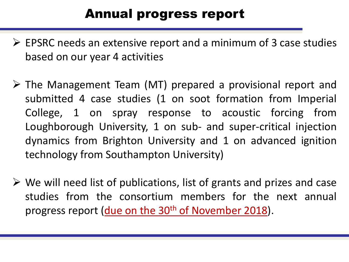## Annual progress report

- $\triangleright$  EPSRC needs an extensive report and a minimum of 3 case studies based on our year 4 activities
- The Management Team (MT) prepared a provisional report and submitted 4 case studies (1 on soot formation from Imperial College, 1 on spray response to acoustic forcing from Loughborough University, 1 on sub- and super-critical injection dynamics from Brighton University and 1 on advanced ignition technology from Southampton University)
- $\triangleright$  We will need list of publications, list of grants and prizes and case studies from the consortium members for the next annual progress report (due on the 30<sup>th</sup> of November 2018).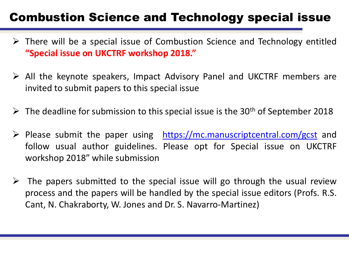#### Combustion Science and Technology special issue

- $\triangleright$  There will be a special issue of Combustion Science and Technology entitled **"Special issue on UKCTRF workshop 2018."**
- All the keynote speakers, Impact Advisory Panel and UKCTRF members are invited to submit papers to this special issue
- $\triangleright$  The deadline for submission to this special issue is the 30<sup>th</sup> of September 2018
- $\triangleright$  Please submit the paper using <https://mc.manuscriptcentral.com/gcst> and follow usual author guidelines. Please opt for Special issue on UKCTRF workshop 2018" while submission
- $\triangleright$  The papers submitted to the special issue will go through the usual review process and the papers will be handled by the special issue editors (Profs. R.S. Cant, N. Chakraborty, W. Jones and Dr. S. Navarro-Martinez)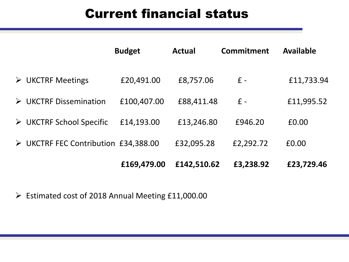### Current financial status

|                                         | <b>Budget</b> | <b>Actual</b> | Commitment | <b>Available</b> |
|-----------------------------------------|---------------|---------------|------------|------------------|
| $\triangleright$ UKCTRF Meetings        | £20,491.00    | £8,757.06     | $f -$      | £11,733.94       |
| $\triangleright$ UKCTRF Dissemination   | £100,407.00   | £88,411.48    | $f -$      | £11,995.52       |
| $\triangleright$ UKCTRF School Specific | £14,193.00    | £13,246.80    | £946.20    | £0.00            |
| > UKCTRF FEC Contribution £34,388.00    |               | £32,095.28    | £2,292.72  | £0.00            |
|                                         | £169,479.00   | £142,510.62   | £3,238.92  | £23,729.46       |

Estimated cost of 2018 Annual Meeting £11,000.00